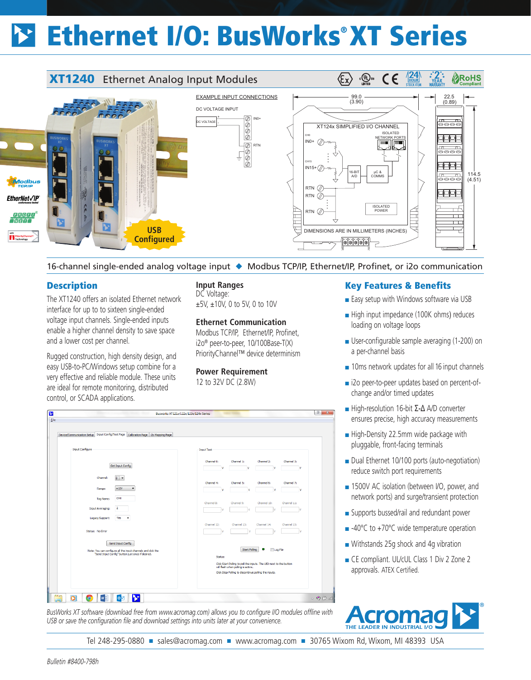# Ethernet I/O: BusWorks® XT Series

#### $\langle \epsilon_{\mathsf{x}} \rangle$  $\frac{1}{\sqrt{2}}$  $\epsilon$ **RoHS**<br>Compliant **XT1240** Ethernet Analog Input Modules EXAMPLE INPUT CONNECTIONS 99.0 (3.90) 22.5  $(0.89)$ DC VOLTAGE INPUT + IN0+ DC VOLTAGE  $\frac{1}{\sqrt{2}}$ - XT124x SIMPLIFIED I/O CHANNEL ISOLATED CH0 9999 IN0+  $\oslash$ **For the Lines**  $\frac{1}{\left|\bigcirc\right|}\left|\bigcirc\right|$ RTN 0000<br>8000 CH15 中中  $IN15+$ µC & 16-BIT A/D 114.5 ႜౣౣౣ COMMS  $(4.51)$ **Modbus** rtn  $\varnothing$ 中中 RTN<sub>(2</sub>) *EtherNet√IP* ISOLATED POWER  $RTN$ PROFIT  $\Box$ M **USB** DIMENSIONS ARE IN MILLIMETERS (INCHES) **Configured <u>Footololol</u>**

16-channel single-ended analog voltage input ◆ Modbus TCP/IP, Ethernet/IP, Profinet, or i2o communication

 $\begin{array}{|c|c|c|c|c|}\hline 0 & \mathbf{x} \\\hline \end{array}$ 

## **Description**

ß

Eile

The XT1240 offers an isolated Ethernet network interface for up to to sixteen single-ended voltage input channels. Single-ended inputs enable a higher channel density to save space and a lower cost per channel.

Rugged construction, high density design, and easy USB-to-PC/Windows setup combine for a very effective and reliable module. These units are ideal for remote monitoring, distributed control, or SCADA applications.

Get Input Config

Yes

Send Input Config

: You can configure all the input channels and dick<br>"Send Input Config" button just once if desired.

Channel:  $\overline{0}$  .  $\pm 10V$   $\rightarrow$ 

Lenacy Sunnort:

**Input Ranges** DC Voltage: ±5V, ±10V, 0 to 5V, 0 to 10V

#### **Ethernet Communication**

Modbus TCP/IP, Ethernet/IP, Profinet, i2o® peer-to-peer, 10/100Base-T(X) PriorityChannel™ device determinism

#### **Power Requirement** 12 to 32V DC (2.8W)

## Key Features & Benefits

- Easy setup with Windows software via USB
- High input impedance (100K ohms) reduces loading on voltage loops
- User-configurable sample averaging (1-200) on a per-channel basis
- 10ms network updates for all 16 input channels
- i2o peer-to-peer updates based on percent-ofchange and/or timed updates
- High-resolution 16-bit Σ-Δ A/D converter ensures precise, high accuracy measurements
- High-Density 22.5mm wide package with pluggable, front-facing terminals
- Dual Ethernet 10/100 ports (auto-negotiation) reduce switch port requirements
- 1500V AC isolation (between I/O, power, and network ports) and surge/transient protection
- Supports bussed/rail and redundant power
- -40°C to +70°C wide temperature operation
- Withstands 25g shock and 4g vibration
- CE compliant. UL/cUL Class 1 Div 2 Zone 2 approvals. ATEX Certified.



**COO**OOO  $\textcircled{r} \textcircled{r}$ *BusWorks XT software (download free from www.acromag.com) allows you to configure I/O modules offline with USB or save the configuration file and download settings into units later at your convenience.*

Busworks XT121x/122x/123x/124x Series

Tel 248-295-0880 ■ sales@acromag.com ■ www.acromag.com ■ 30765 Wixom Rd, Wixom, MI 48393 USA

Start Poling | O | Log Fie

Click Start Polling to poll the inputs. The LED next to the buttor<br>will flash when polling is active. Click Stop Polling to discontinue polling the inputs